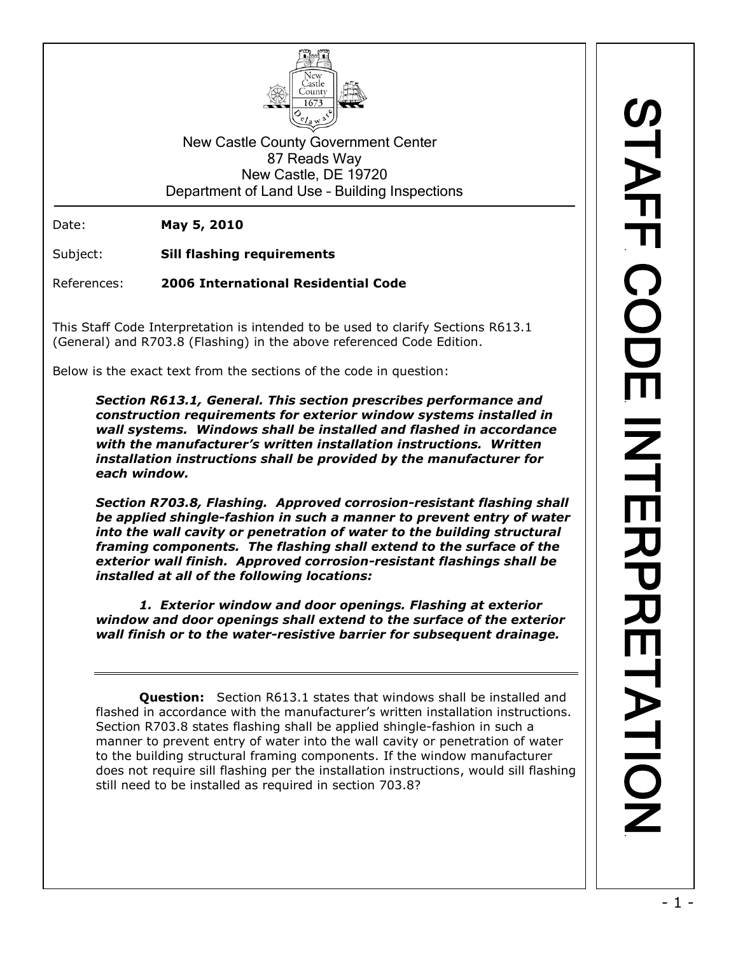

New Castle County Government Center 87 Reads Way New Castle, DE 19720 Department of Land Use – Building Inspections

Date: **May 5, 2010**

Subject: **Sill flashing requirements**

References: **2006 International Residential Code**

This Staff Code Interpretation is intended to be used to clarify Sections R613.1 (General) and R703.8 (Flashing) in the above referenced Code Edition.

Below is the exact text from the sections of the code in question:

*Section R613.1, General. This section prescribes performance and construction requirements for exterior window systems installed in wall systems. Windows shall be installed and flashed in accordance with the manufacturer's written installation instructions. Written installation instructions shall be provided by the manufacturer for each window.*

*Section R703.8, Flashing. Approved corrosion-resistant flashing shall be applied shingle-fashion in such a manner to prevent entry of water into the wall cavity or penetration of water to the building structural framing components. The flashing shall extend to the surface of the exterior wall finish. Approved corrosion-resistant flashings shall be installed at all of the following locations:*

*1. Exterior window and door openings. Flashing at exterior window and door openings shall extend to the surface of the exterior wall finish or to the water-resistive barrier for subsequent drainage.*

**Question:** Section R613.1 states that windows shall be installed and flashed in accordance with the manufacturer's written installation instructions. Section R703.8 states flashing shall be applied shingle-fashion in such a manner to prevent entry of water into the wall cavity or penetration of water to the building structural framing components. If the window manufacturer does not require sill flashing per the installation instructions, would sill flashing still need to be installed as required in section 703.8?